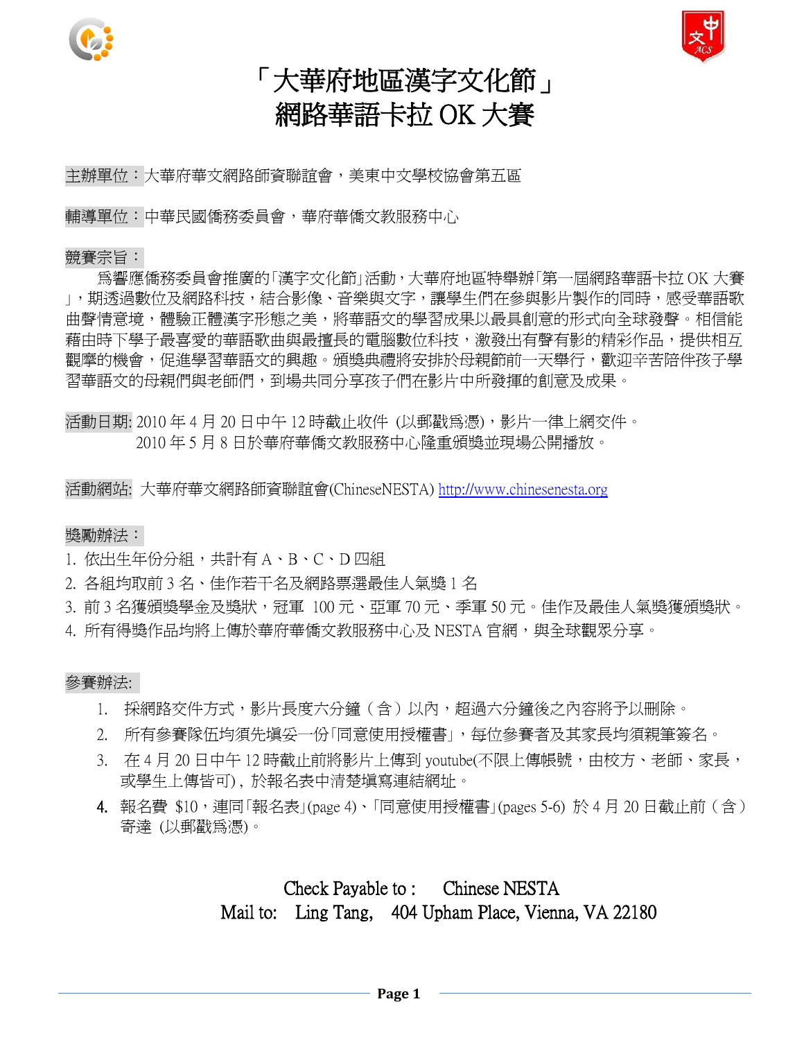



## 「大華府地區漢字文化節」 網路華語卡拉 OK 大賽

主辦單位:大華府華文網路師資聯誼會,美東中文學校協會第五區

輔導單位:中華民國僑務委員會,華府華僑文教服務中心

#### 競賽宗旨:

為響應僑務委員會推廣的「漢字文化節」活動,大華府地區特舉辦「第一屆網路華語卡拉 OK 大賽 」,期透過數位及網路科技,結合影像、音樂與文字,讓學生們在參與影片製作的同時,感受華語歌 曲聲情意境,體驗正體漢字形態之美,將華語文的學習成果以最具創意的形式向全球發聲。相信能 藉由時下學子最喜愛的華語歌曲與最擅長的電腦數位科技,激發出有聲有影的精彩作品,提供相互 觀摩的機會,促進學習華語文的興趣。頒獎典禮將安排於母親節前一天舉行,歡迎辛苦陪伴孩子學 習華語文的母親們與老師們,到場共同分享孩子們在影片中所發揮的創意及成果。

活動日期: 2010 年 4 月 20 日中午 12 時截止收件 (以郵戳為憑),影片一律上網交件。 2010 年 5 月 8 日於華府華僑文教服務中心隆重頒獎並現場公開播放。

活動網站: 大華府華文網路師資聯誼會(ChineseNESTA) [http://www.chinesenesta.org](http://www.chinesenesta.org/)

#### 獎勵辦法:

- 1. 依出生年份分組,共計有 A、B、C、D 四組
- 2. 各組均取前 3 名、佳作若干名及網路票選最佳人氣獎 1 名
- 3. 前 3 名獲頒獎學金及獎狀,冠軍 100 元、亞軍 70 元、季軍 50 元。佳作及最佳人氣獎獲頒獎狀。
- 4. 所有得獎作品均將上傳於華府華僑文教服務中心及 NESTA 官網,與全球觀眾分享。

#### 參賽辦法:

- 1. 採網路交件方式,影片長度六分鐘(含)以內,超過六分鐘後之內容將予以刪除。
- 2. 所有參賽隊伍均須先填妥一份「同意使用授權書」,每位參賽者及其家長均須親筆簽名。
- 3. 在 4 月 20 日中午 12 時截止前將影片上傳到 voutube(不限上傳帳號,由校方、老師、家長, 或學生上傳皆可) , 於報名表中清楚填寫連結網址。
- 4. 報名費 \$10,連同「報名表」(page 4)、「同意使用授權書」(pages 5-6) 於 4 月 20 日截止前 ( 含 ) 寄達 (以郵戳為憑)。

## Check Payable to : Chinese NESTA Mail to: Ling Tang, 404 Upham Place, Vienna, VA 22180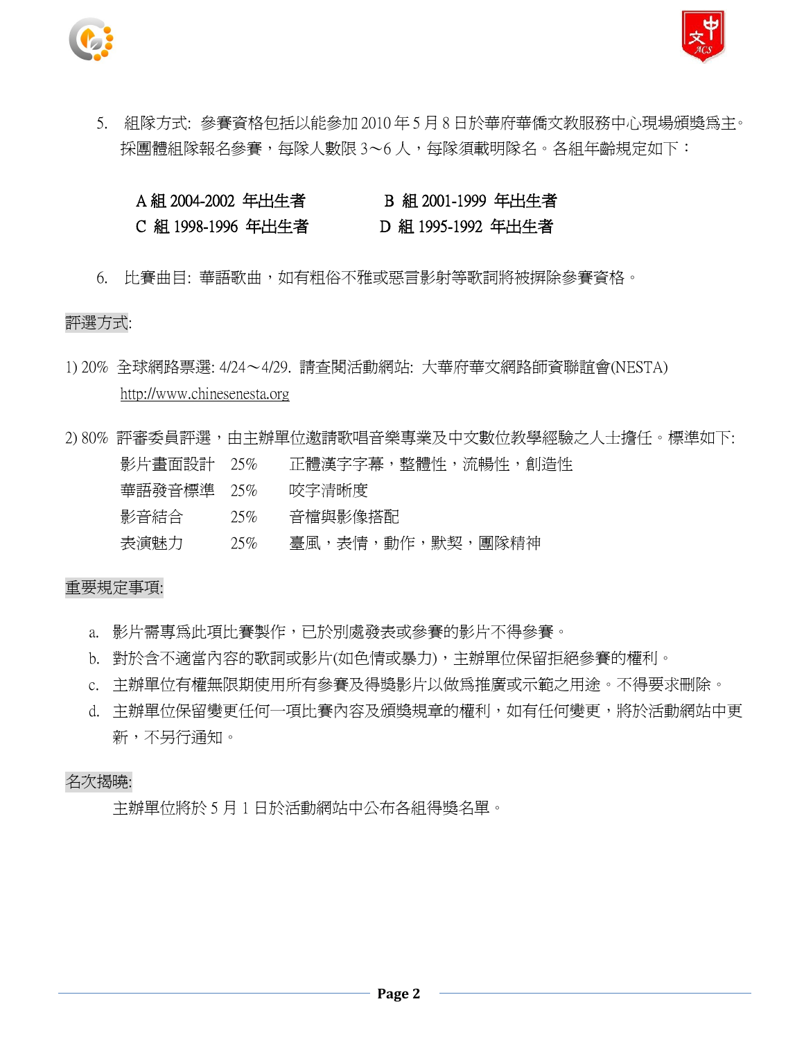



5. 組隊方式: 參賽資格包括以能參加 2010 年 5 月 8 日於華府華僑文教服務中心現場頒獎為主。 採團體組隊報名參賽,每隊人數限 3~6 人,每隊須載明隊名。各組年齡規定如下:

### A 組 2004-2002 年出生者 B 組 2001-1999 年出生者 C 組 1998-1996 年出生者 D 組 1995-1992 年出生者

6. 比賽曲目: 華語歌曲,如有粗俗不雅或惡言影射等歌詞將被摒除參賽資格。

#### 評選方式:

- 1) 20% 全球網路票選: 4/24~4/29. 請查閱活動網站: 大華府華文網路師資聯誼會(NESTA) http://www.chinesenesta.org
- 2) 80% 評審委員評選,由主辦單位邀請歌唱音樂專業及中文數位教學經驗之人士擔任。標準如下: 影片畫面設計 25% 正體漢字字幕,整體性,流暢性,創造性 華語發音標準 25% 咬字清晰度 影音結合 25% 音檔與影像搭配 表演魅力 25% 臺風,表情,動作,默契,團隊精神

#### 重要規定事項:

- a. 影片需專為此項比賽製作,已於別處發表或參賽的影片不得參賽。
- b. 對於含不適當內容的歌詞或影片(如色情或暴力),主辦單位保留拒絕參賽的權利。
- c. 主辦單位有權無限期使用所有參賽及得獎影片以做為推廣或示範之用途。不得要求刪除。
- d. 主辦單位保留變更任何一項比賽內容及頒獎規章的權利,如有任何變更,將於活動網站中更 新,不另行通知。

#### 名次揭曉:

主辦單位將於 5 月 1 日於活動網站中公布各組得獎名單。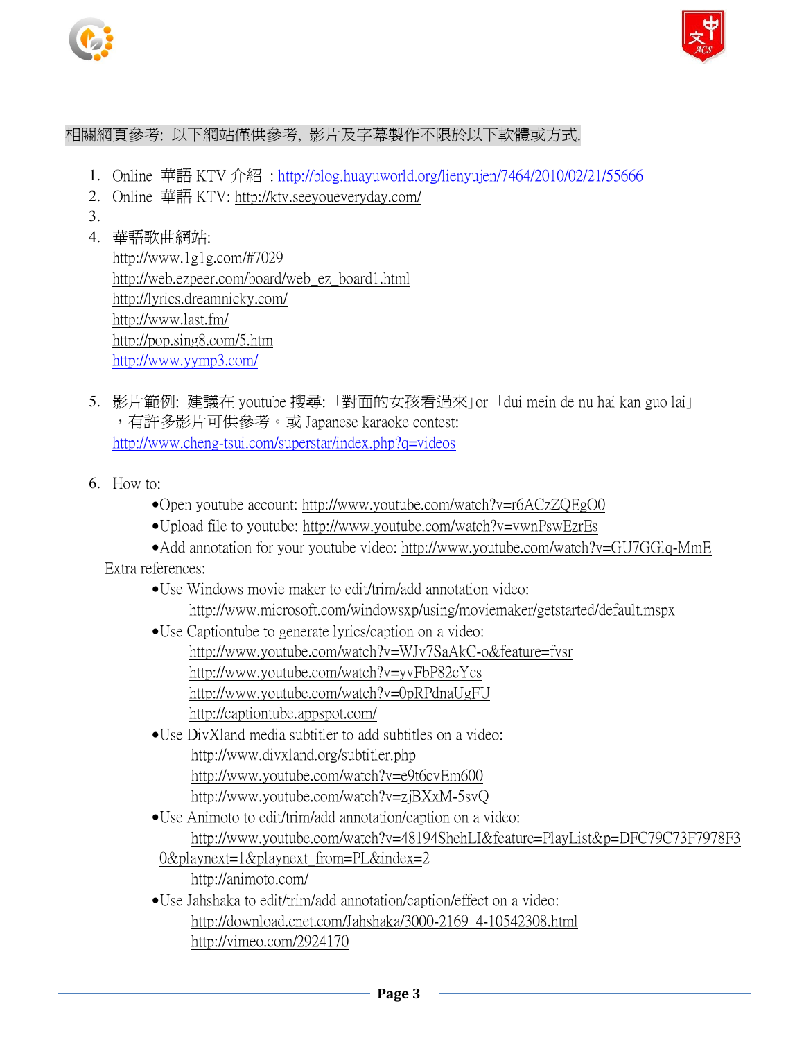



### 相關網頁參考: 以下網站僅供參考, 影片及字幕製作不限於以下軟體或方式.

- 1. Online 華語 KTV 介紹 :<http://blog.huayuworld.org/lienyujen/7464/2010/02/21/55666>
- 2. Online 華語 KTV:<http://ktv.seeyoueveryday.com/>
- 3.
- 4. 華語歌曲網站:

<http://www.1g1g.com/#7029> [http://web.ezpeer.com/board/web\\_ez\\_board1.html](http://web.ezpeer.com/board/web_ez_board1.html) <http://lyrics.dreamnicky.com/> <http://www.last.fm/> <http://pop.sing8.com/5.htm> <http://www.yymp3.com/>

- 5. 影片範例: 建議在 youtube 搜尋: 「對面的女孩看過來」or 「dui mein de nu hai kan guo lai」 ,有許多影片可供參考。或 Japanese karaoke contest: <http://www.cheng-tsui.com/superstar/index.php?q=videos>
- 6. How to:
	- Open youtube account:<http://www.youtube.com/watch?v=r6ACzZQEgO0>
	- Upload file to youtube:<http://www.youtube.com/watch?v=vwnPswEzrEs>
	- Add annotation for your youtube video:<http://www.youtube.com/watch?v=GU7GGlq-MmE> Extra references:
		- Use Windows movie maker to edit/trim/add annotation video: http://www.microsoft.com/windowsxp/using/moviemaker/getstarted/default.mspx
		- Use Captiontube to generate lyrics/caption on a video: <http://www.youtube.com/watch?v=WJv7SaAkC-o&feature=fvsr> <http://www.youtube.com/watch?v=yvFbP82cYcs> http://www.youtube.com/watch?v=0pRPdnaUgFU <http://captiontube.appspot.com/>
		- Use DivXland media subtitler to add subtitles on a video: http://www.divxland.org/subtitler.php <http://www.youtube.com/watch?v=e9t6cvEm600> <http://www.youtube.com/watch?v=zjBXxM-5svQ>
		- Use Animoto to edit/trim/add annotation/caption on a video: http://www.youtube.com/watch?v=48194ShehLI&feature=PlayList&p=DFC79C73F7978F3
		- 0&playnext=1&playnext\_from=PL&index=2 <http://animoto.com/>
		- Use Jahshaka to edit/trim/add annotation/caption/effect on a video: [http://download.cnet.com/Jahshaka/3000-2169\\_4-10542308.html](http://download.cnet.com/Jahshaka/3000-2169_4-10542308.html) http://vimeo.com/2924170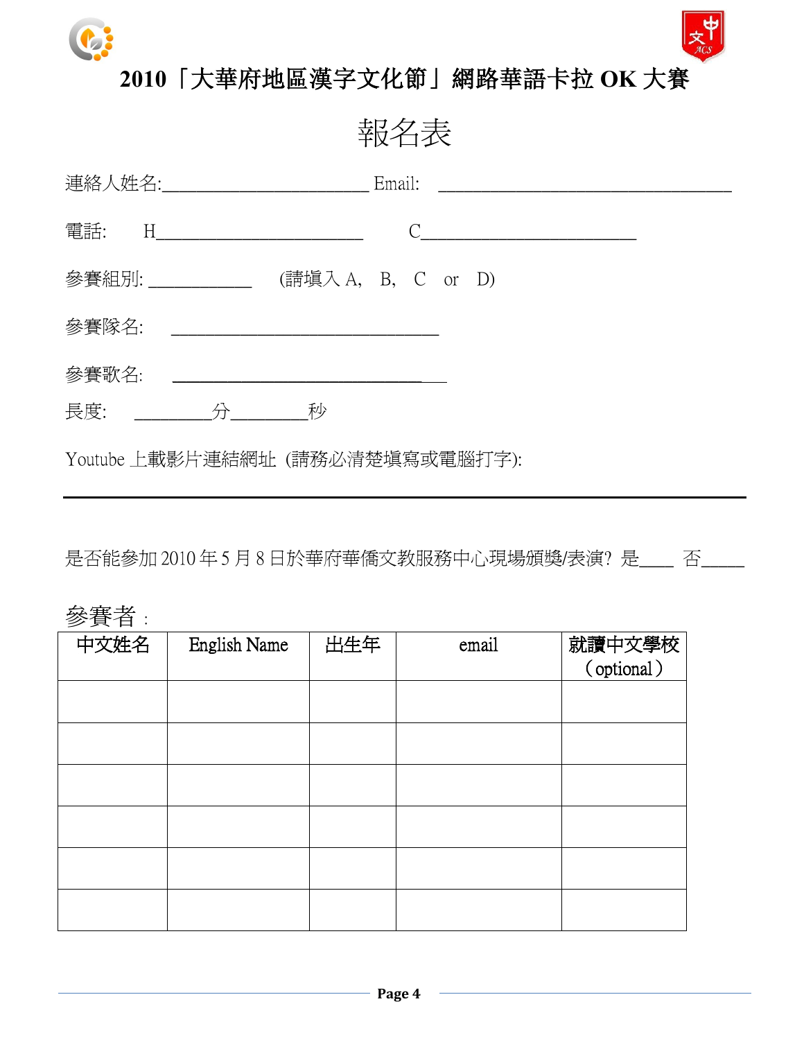



## **2010**「大華府地區漢字文化節」網路華語卡拉 **OK** 大賽

報名表

| 電話: H________________________           |  |
|-----------------------------------------|--|
| 參賽組別: ______________ (請塡入 A, B, C or D) |  |
| 參賽隊名:                                   |  |
| 參賽歌名: _________________________________ |  |
| 長度: 分 秒                                 |  |
| Youtube 上載影片連結網址 (請務必清楚塡寫或電腦打字):        |  |

是否能參加 2010年5月8日於華府華僑文教服務中心現場頒獎/表演?是\_\_\_ 否\_\_\_\_

## 參賽者 :

| 中文姓名 | <b>English Name</b> | 出生年 | email | 就讀中文學校<br>(optional) |
|------|---------------------|-----|-------|----------------------|
|      |                     |     |       |                      |
|      |                     |     |       |                      |
|      |                     |     |       |                      |
|      |                     |     |       |                      |
|      |                     |     |       |                      |
|      |                     |     |       |                      |
|      |                     |     |       |                      |
|      |                     |     |       |                      |
|      |                     |     |       |                      |
|      |                     |     |       |                      |
|      |                     |     |       |                      |
|      |                     |     |       |                      |
|      |                     |     |       |                      |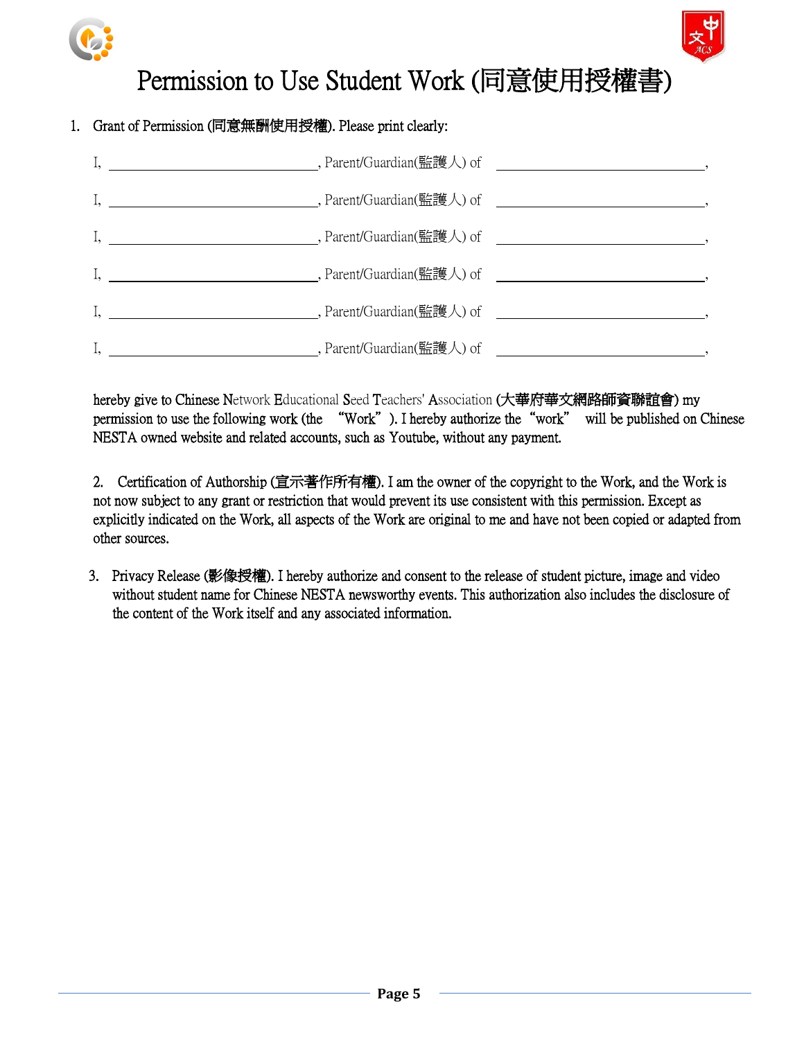



# Permission to Use Student Work (同意使用授權書)

### 1. Grant of Permission (同意無酬使用授權). Please print clearly:

| I, 1. 2008 . Parent/Guardian(監護人) of 2008. The contract of the contract of the contract of the contract of the contract of the contract of the contract of the contract of the contract of the contract of the contract of th |  |
|-------------------------------------------------------------------------------------------------------------------------------------------------------------------------------------------------------------------------------|--|
| I, 1. 2008. The properties of the contract of the parent/Guardian(監護人) of 2008. The contract of the contract of the contract of the contract of the contract of the contract of the contract of the contract of the contract  |  |
| I, 1. 2008. The part of the control of the control of the control of the control of the control of the control of the control of the control of the control of the control of the control of the control of the control of th |  |
| I, 1. 2008 and 2008 . Parent/Guardian(監護人) of 2008 . 2009 . 2009 . 2009 . 2009 . 2009 . 2009 . 2009 . 2009 . 2009 . 2009 . 2009 . 2009 . 2009 . 2009 . 2009 . 2009 . 2009 . 2009 . 2009 . 2009 . 2009 . 2009 . 2009 . 2009 .  |  |
|                                                                                                                                                                                                                               |  |

hereby give to Chinese Network Educational Seed Teachers' Association (大華府華文網路師資聯誼會) my permission to use the following work (the "Work"). I hereby authorize the"work" will be published on Chinese NESTA owned website and related accounts, such as Youtube, without any payment.

2. Certification of Authorship (宣示著作所有權). I am the owner of the copyright to the Work, and the Work is not now subject to any grant or restriction that would prevent its use consistent with this permission. Except as explicitly indicated on the Work, all aspects of the Work are original to me and have not been copied or adapted from other sources.

3. Privacy Release (影像授權). I hereby authorize and consent to the release of student picture, image and video without student name for Chinese NESTA newsworthy events. This authorization also includes the disclosure of the content of the Work itself and any associated information.